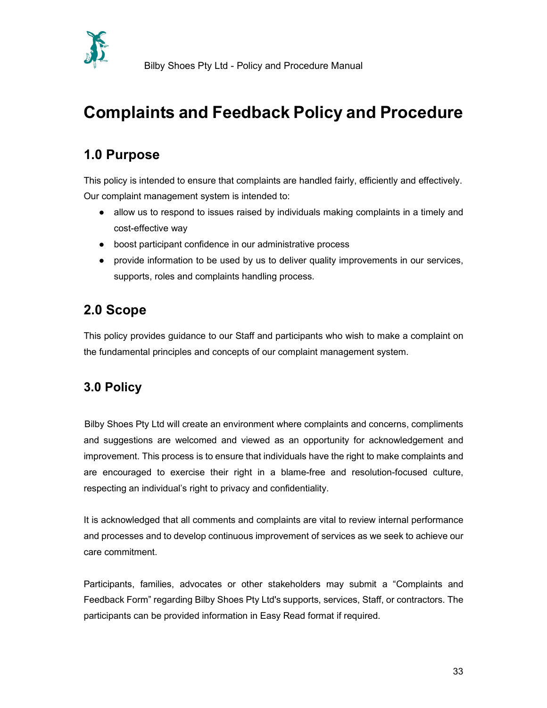

# Complaints and Feedback Policy and Procedure

# 1.0 Purpose

This policy is intended to ensure that complaints are handled fairly, efficiently and effectively. Our complaint management system is intended to:

- allow us to respond to issues raised by individuals making complaints in a timely and cost-effective way
- boost participant confidence in our administrative process
- provide information to be used by us to deliver quality improvements in our services, supports, roles and complaints handling process.

### 2.0 Scope

This policy provides guidance to our Staff and participants who wish to make a complaint on the fundamental principles and concepts of our complaint management system.

### 3.0 Policy

 Bilby Shoes Pty Ltd will create an environment where complaints and concerns, compliments and suggestions are welcomed and viewed as an opportunity for acknowledgement and improvement. This process is to ensure that individuals have the right to make complaints and are encouraged to exercise their right in a blame-free and resolution-focused culture, respecting an individual's right to privacy and confidentiality.

It is acknowledged that all comments and complaints are vital to review internal performance and processes and to develop continuous improvement of services as we seek to achieve our care commitment.

 Participants, families, advocates or other stakeholders may submit a "Complaints and Feedback Form" regarding Bilby Shoes Pty Ltd's supports, services, Staff, or contractors. The participants can be provided information in Easy Read format if required.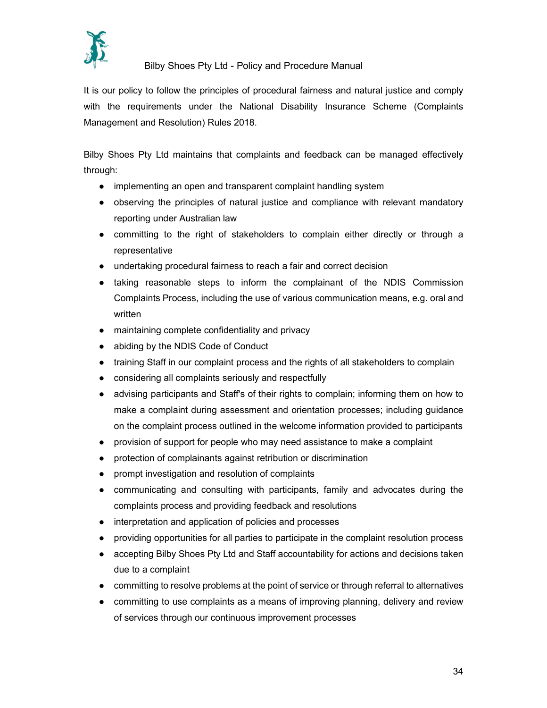

It is our policy to follow the principles of procedural fairness and natural justice and comply with the requirements under the National Disability Insurance Scheme (Complaints Management and Resolution) Rules 2018.

 Bilby Shoes Pty Ltd maintains that complaints and feedback can be managed effectively through:

- implementing an open and transparent complaint handling system
- observing the principles of natural justice and compliance with relevant mandatory reporting under Australian law
- committing to the right of stakeholders to complain either directly or through a representative
- undertaking procedural fairness to reach a fair and correct decision
- taking reasonable steps to inform the complainant of the NDIS Commission Complaints Process, including the use of various communication means, e.g. oral and written
- maintaining complete confidentiality and privacy
- abiding by the NDIS Code of Conduct
- training Staff in our complaint process and the rights of all stakeholders to complain
- considering all complaints seriously and respectfully
- advising participants and Staff's of their rights to complain; informing them on how to make a complaint during assessment and orientation processes; including guidance on the complaint process outlined in the welcome information provided to participants
- provision of support for people who may need assistance to make a complaint
- protection of complainants against retribution or discrimination
- prompt investigation and resolution of complaints
- communicating and consulting with participants, family and advocates during the complaints process and providing feedback and resolutions
- interpretation and application of policies and processes
- providing opportunities for all parties to participate in the complaint resolution process
- accepting Bilby Shoes Pty Ltd and Staff accountability for actions and decisions taken due to a complaint
- committing to resolve problems at the point of service or through referral to alternatives
- committing to use complaints as a means of improving planning, delivery and review of services through our continuous improvement processes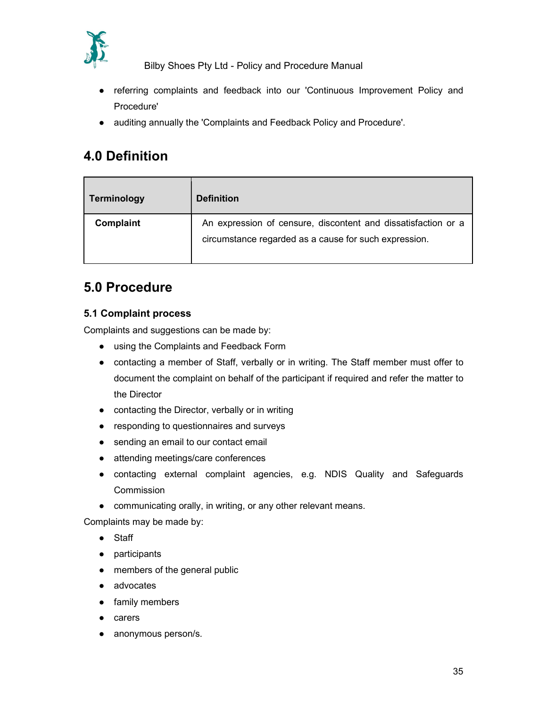

- referring complaints and feedback into our 'Continuous Improvement Policy and Procedure'
- auditing annually the 'Complaints and Feedback Policy and Procedure'.

## 4.0 Definition

| Terminology | <b>Definition</b>                                             |
|-------------|---------------------------------------------------------------|
| Complaint   | An expression of censure, discontent and dissatisfaction or a |
|             | circumstance regarded as a cause for such expression.         |
|             |                                                               |

### 5.0 Procedure

#### 5.1 Complaint process

Complaints and suggestions can be made by:

- using the Complaints and Feedback Form
- contacting a member of Staff, verbally or in writing. The Staff member must offer to document the complaint on behalf of the participant if required and refer the matter to the Director
- contacting the Director, verbally or in writing
- responding to questionnaires and surveys
- sending an email to our contact email
- attending meetings/care conferences
- contacting external complaint agencies, e.g. NDIS Quality and Safeguards **Commission**
- communicating orally, in writing, or any other relevant means.

Complaints may be made by:

- Staff
- participants
- members of the general public
- advocates
- family members
- carers
- anonymous person/s.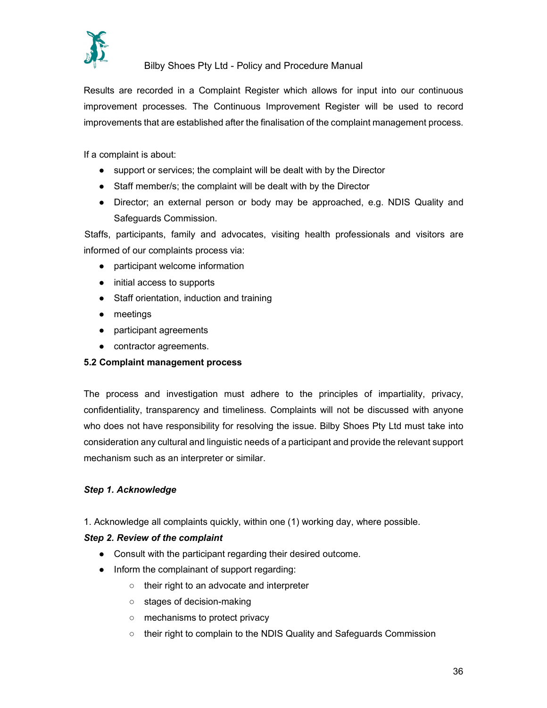

Results are recorded in a Complaint Register which allows for input into our continuous improvement processes. The Continuous Improvement Register will be used to record improvements that are established after the finalisation of the complaint management process.

If a complaint is about:

- support or services; the complaint will be dealt with by the Director
- Staff member/s; the complaint will be dealt with by the Director
- Director; an external person or body may be approached, e.g. NDIS Quality and Safeguards Commission.

Staffs, participants, family and advocates, visiting health professionals and visitors are informed of our complaints process via:

- participant welcome information
- initial access to supports
- Staff orientation, induction and training
- meetings
- participant agreements
- contractor agreements.

#### 5.2 Complaint management process

The process and investigation must adhere to the principles of impartiality, privacy, confidentiality, transparency and timeliness. Complaints will not be discussed with anyone who does not have responsibility for resolving the issue. Bilby Shoes Pty Ltd must take into consideration any cultural and linguistic needs of a participant and provide the relevant support mechanism such as an interpreter or similar.

#### Step 1. Acknowledge

1. Acknowledge all complaints quickly, within one (1) working day, where possible.

#### Step 2. Review of the complaint

- Consult with the participant regarding their desired outcome.
- Inform the complainant of support regarding:
	- their right to an advocate and interpreter
	- stages of decision-making
	- mechanisms to protect privacy
	- their right to complain to the NDIS Quality and Safeguards Commission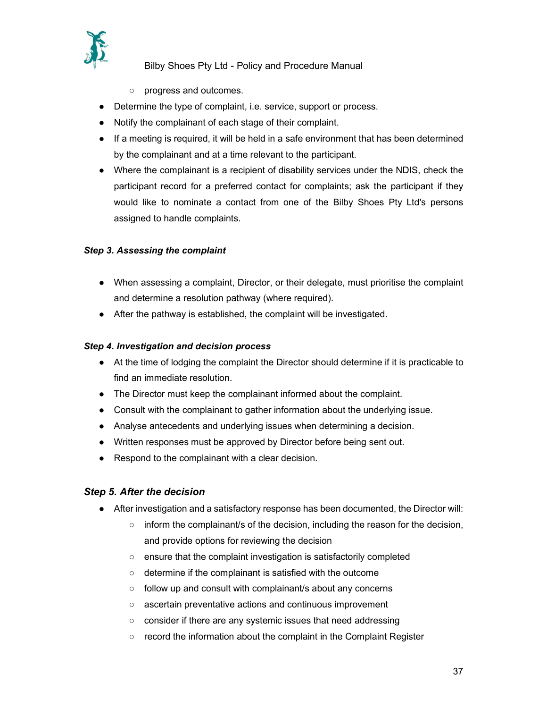

- progress and outcomes.
- Determine the type of complaint, i.e. service, support or process.
- Notify the complainant of each stage of their complaint.
- If a meeting is required, it will be held in a safe environment that has been determined by the complainant and at a time relevant to the participant.
- Where the complainant is a recipient of disability services under the NDIS, check the participant record for a preferred contact for complaints; ask the participant if they would like to nominate a contact from one of the Bilby Shoes Pty Ltd's persons assigned to handle complaints.

#### Step 3. Assessing the complaint

- When assessing a complaint, Director, or their delegate, must prioritise the complaint and determine a resolution pathway (where required).
- After the pathway is established, the complaint will be investigated.

#### Step 4. Investigation and decision process

- At the time of lodging the complaint the Director should determine if it is practicable to find an immediate resolution.
- The Director must keep the complainant informed about the complaint.
- Consult with the complainant to gather information about the underlying issue.
- Analyse antecedents and underlying issues when determining a decision.
- Written responses must be approved by Director before being sent out.
- Respond to the complainant with a clear decision.

#### Step 5. After the decision

- After investigation and a satisfactory response has been documented, the Director will:
	- $\circ$  inform the complainant/s of the decision, including the reason for the decision, and provide options for reviewing the decision
	- ensure that the complaint investigation is satisfactorily completed
	- determine if the complainant is satisfied with the outcome
	- follow up and consult with complainant/s about any concerns
	- ascertain preventative actions and continuous improvement
	- consider if there are any systemic issues that need addressing
	- $\circ$  record the information about the complaint in the Complaint Register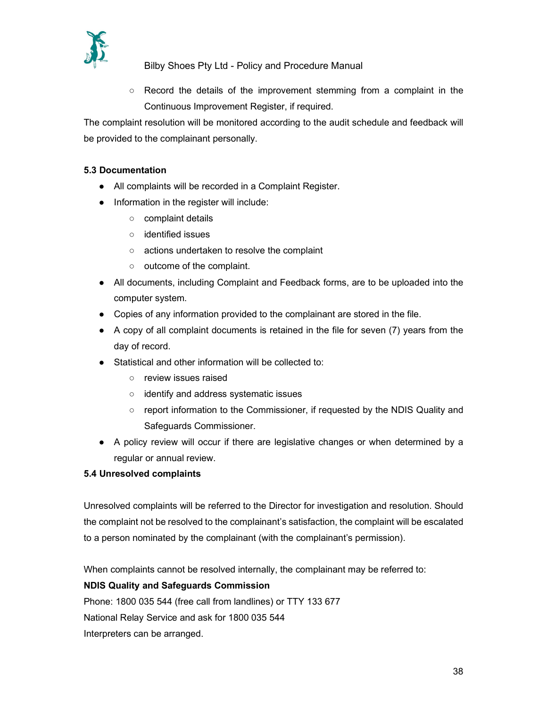

○ Record the details of the improvement stemming from a complaint in the Continuous Improvement Register, if required.

The complaint resolution will be monitored according to the audit schedule and feedback will be provided to the complainant personally.

#### 5.3 Documentation

- All complaints will be recorded in a Complaint Register.
- Information in the register will include:
	- complaint details
	- identified issues
	- actions undertaken to resolve the complaint
	- outcome of the complaint.
- All documents, including Complaint and Feedback forms, are to be uploaded into the computer system.
- Copies of any information provided to the complainant are stored in the file.
- A copy of all complaint documents is retained in the file for seven (7) years from the day of record.
- Statistical and other information will be collected to:
	- review issues raised
	- identify and address systematic issues
	- report information to the Commissioner, if requested by the NDIS Quality and Safeguards Commissioner.
- A policy review will occur if there are legislative changes or when determined by a regular or annual review.

#### 5.4 Unresolved complaints

 Unresolved complaints will be referred to the Director for investigation and resolution. Should the complaint not be resolved to the complainant's satisfaction, the complaint will be escalated to a person nominated by the complainant (with the complainant's permission).

When complaints cannot be resolved internally, the complainant may be referred to:

#### NDIS Quality and Safeguards Commission

Phone: 1800 035 544 (free call from landlines) or TTY 133 677 National Relay Service and ask for 1800 035 544 Interpreters can be arranged.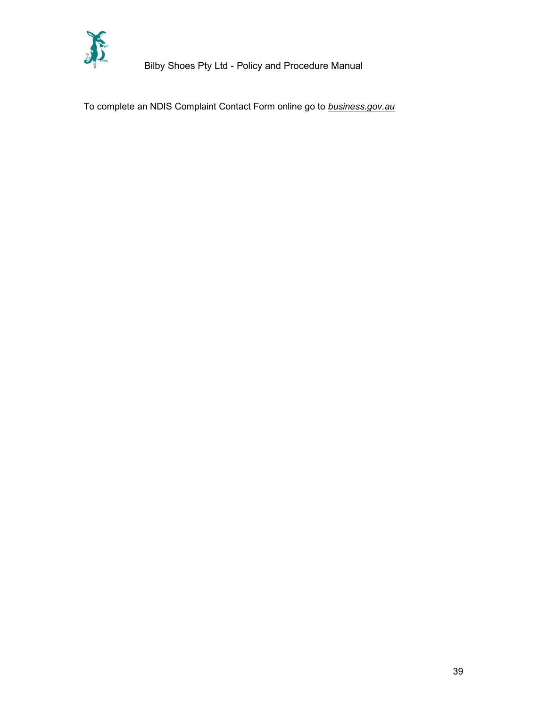

To complete an NDIS Complaint Contact Form online go to **business.gov.au**